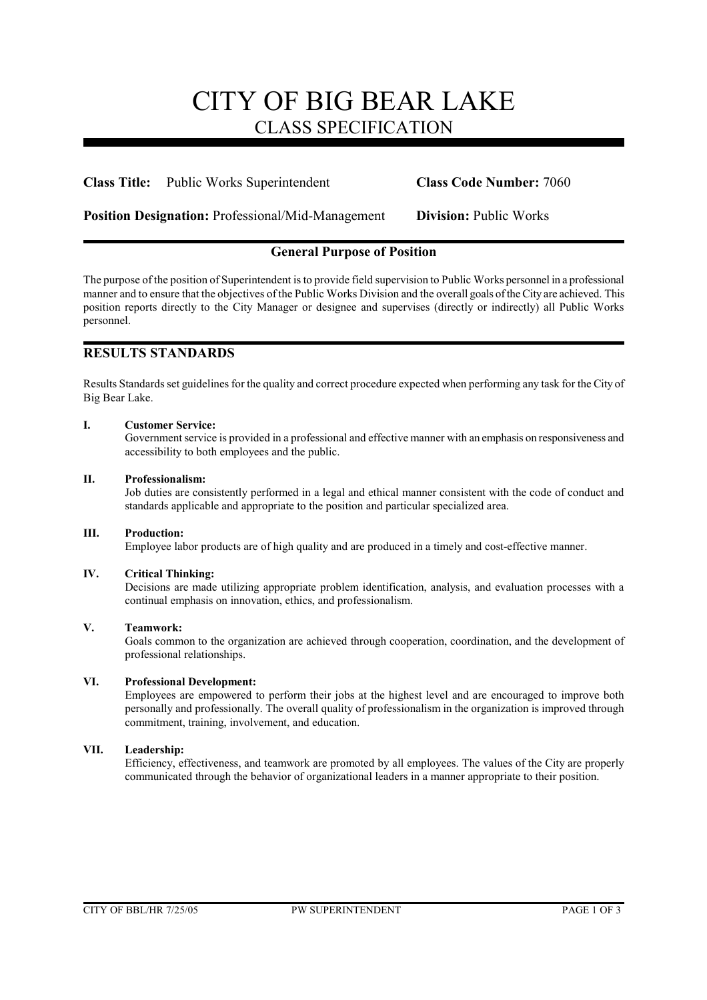# CITY OF BIG BEAR LAKE CLASS SPECIFICATION

**Class Title:** Public Works Superintendent **Class Code Number:** 7060

**Position Designation:** Professional/Mid-Management **Division:** Public Works

# **General Purpose of Position**

The purpose of the position of Superintendent is to provide field supervision to Public Works personnel in a professional manner and to ensure that the objectives of the Public Works Division and the overall goals of the City are achieved. This position reports directly to the City Manager or designee and supervises (directly or indirectly) all Public Works personnel.

# **RESULTS STANDARDS**

Results Standards set guidelines for the quality and correct procedure expected when performing any task for the City of Big Bear Lake.

#### **I. Customer Service:**

Government service is provided in a professional and effective manner with an emphasis on responsiveness and accessibility to both employees and the public.

# **II. Professionalism:**

Job duties are consistently performed in a legal and ethical manner consistent with the code of conduct and standards applicable and appropriate to the position and particular specialized area.

#### **III. Production:**

Employee labor products are of high quality and are produced in a timely and cost-effective manner.

#### **IV. Critical Thinking:**

Decisions are made utilizing appropriate problem identification, analysis, and evaluation processes with a continual emphasis on innovation, ethics, and professionalism.

#### **V. Teamwork:**

Goals common to the organization are achieved through cooperation, coordination, and the development of professional relationships.

### **VI. Professional Development:**

Employees are empowered to perform their jobs at the highest level and are encouraged to improve both personally and professionally. The overall quality of professionalism in the organization is improved through commitment, training, involvement, and education.

# **VII. Leadership:**

Efficiency, effectiveness, and teamwork are promoted by all employees. The values of the City are properly communicated through the behavior of organizational leaders in a manner appropriate to their position.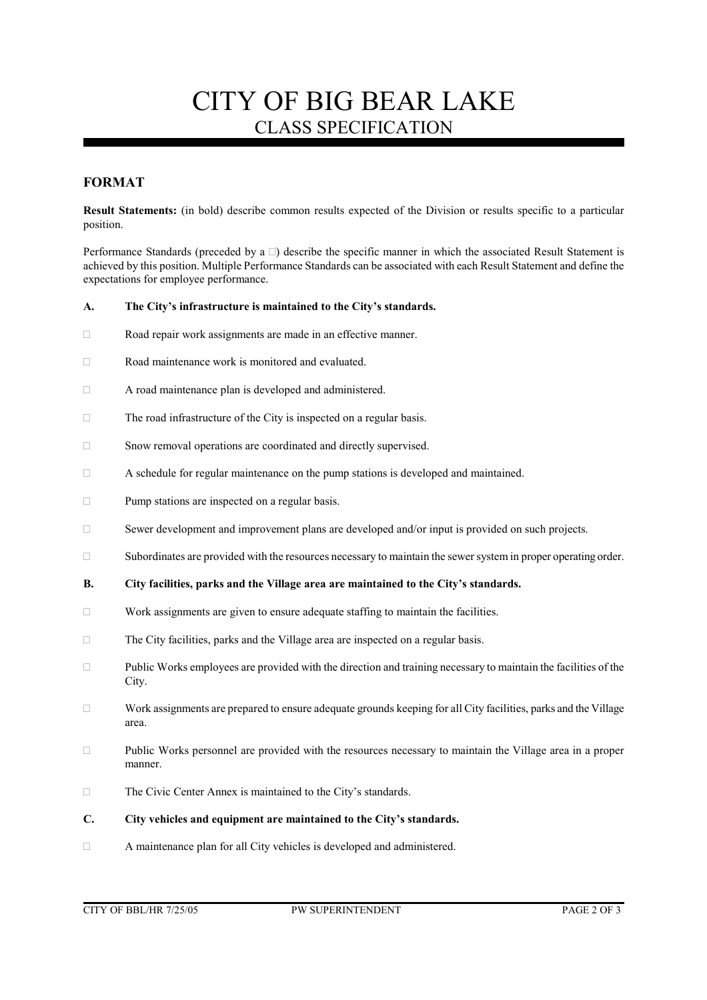# CITY OF BIG BEAR LAKE CLASS SPECIFICATION

# **FORMAT**

**Result Statements:** (in bold) describe common results expected of the Division or results specific to a particular position.

Performance Standards (preceded by a  $\Box$ ) describe the specific manner in which the associated Result Statement is achieved by this position. Multiple Performance Standards can be associated with each Result Statement and define the expectations for employee performance.

#### **A. The City's infrastructure is maintained to the City's standards.**

- Road repair work assignments are made in an effective manner.
- $\Box$  Road maintenance work is monitored and evaluated.
- A road maintenance plan is developed and administered.
- $\Box$  The road infrastructure of the City is inspected on a regular basis.
- Snow removal operations are coordinated and directly supervised.
- A schedule for regular maintenance on the pump stations is developed and maintained.
- $\Box$  Pump stations are inspected on a regular basis.
- □ Sewer development and improvement plans are developed and/or input is provided on such projects.
- Subordinates are provided with the resources necessary to maintain the sewer system in proper operating order.

#### **B. City facilities, parks and the Village area are maintained to the City's standards.**

- $\Box$  Work assignments are given to ensure adequate staffing to maintain the facilities.
- The City facilities, parks and the Village area are inspected on a regular basis.
- $\square$  Public Works employees are provided with the direction and training necessary to maintain the facilities of the City.
- $\Box$  Work assignments are prepared to ensure adequate grounds keeping for all City facilities, parks and the Village area.
- $\Box$  Public Works personnel are provided with the resources necessary to maintain the Village area in a proper manner.
- The Civic Center Annex is maintained to the City's standards.

# **C. City vehicles and equipment are maintained to the City's standards.**

A maintenance plan for all City vehicles is developed and administered.